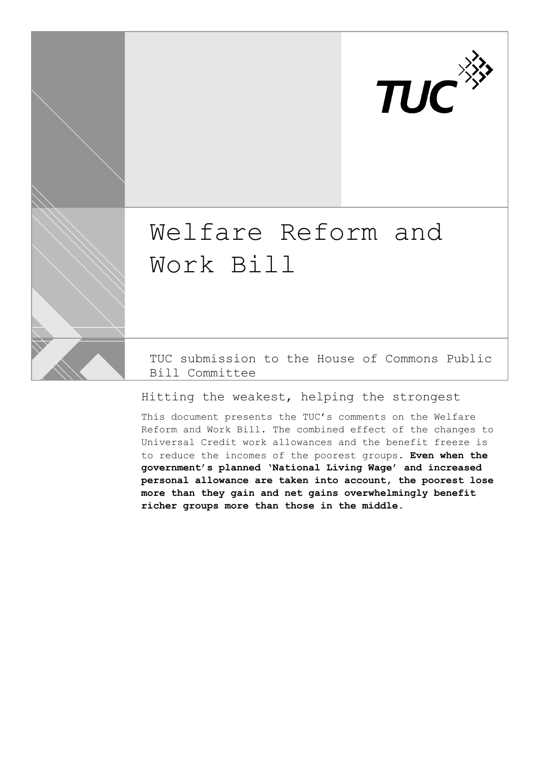

# Welfare Reform and Work Bill

TUC submission to the House of Commons Public Bill Committee

Hitting the weakest, helping the strongest

This document presents the TUC's comments on the Welfare Reform and Work Bill. The combined effect of the changes to Universal Credit work allowances and the benefit freeze is to reduce the incomes of the poorest groups. **Even when the government's planned 'National Living Wage' and increased personal allowance are taken into account, the poorest lose more than they gain and net gains overwhelmingly benefit richer groups more than those in the middle.**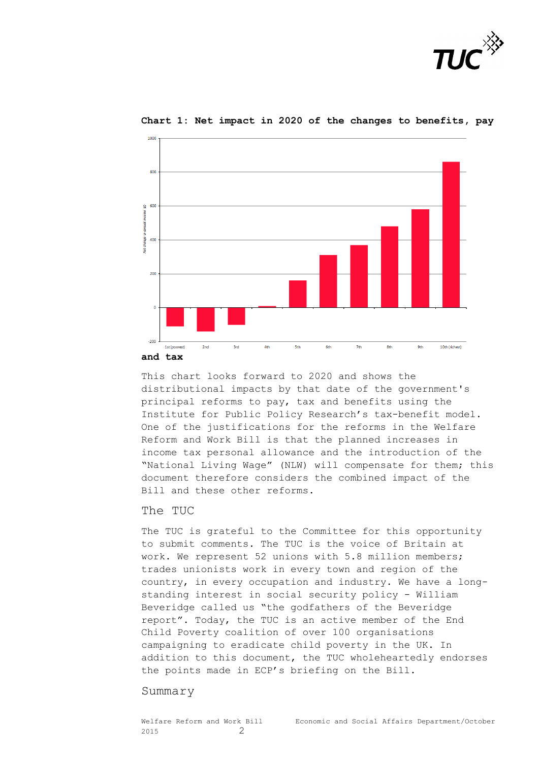



#### **Chart 1: Net impact in 2020 of the changes to benefits, pay**

**and tax**

 $1000$ 

This chart looks forward to 2020 and shows the distributional impacts by that date of the government's principal reforms to pay, tax and benefits using the Institute for Public Policy Research's tax-benefit model. One of the justifications for the reforms in the Welfare Reform and Work Bill is that the planned increases in income tax personal allowance and the introduction of the "National Living Wage" (NLW) will compensate for them; this document therefore considers the combined impact of the Bill and these other reforms.

#### The TUC

The TUC is grateful to the Committee for this opportunity to submit comments. The TUC is the voice of Britain at work. We represent 52 unions with 5.8 million members; trades unionists work in every town and region of the country, in every occupation and industry. We have a longstanding interest in social security policy - William Beveridge called us "the godfathers of the Beveridge report". Today, the TUC is an active member of the End Child Poverty coalition of over 100 organisations campaigning to eradicate child poverty in the UK. In addition to this document, the TUC wholeheartedly endorses the points made in ECP's briefing on the Bill.

#### Summary

2015 2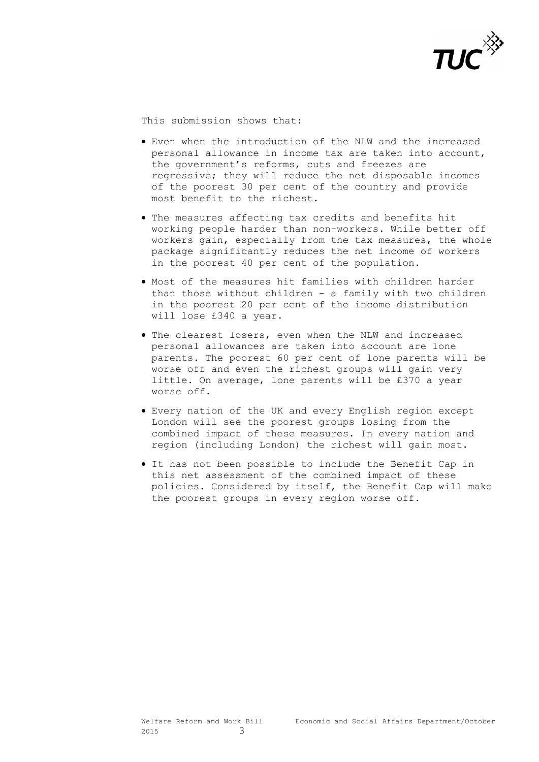

This submission shows that:

- Even when the introduction of the NLW and the increased personal allowance in income tax are taken into account, the government's reforms, cuts and freezes are regressive; they will reduce the net disposable incomes of the poorest 30 per cent of the country and provide most benefit to the richest.
- The measures affecting tax credits and benefits hit working people harder than non-workers. While better off workers gain, especially from the tax measures, the whole package significantly reduces the net income of workers in the poorest 40 per cent of the population.
- $\bullet$  Most of the measures hit families with children harder than those without children – a family with two children in the poorest 20 per cent of the income distribution will lose £340 a year.
- The clearest losers, even when the NLW and increased personal allowances are taken into account are lone parents. The poorest 60 per cent of lone parents will be worse off and even the richest groups will gain very little. On average, lone parents will be £370 a year worse off.
- Every nation of the UK and every English region except London will see the poorest groups losing from the combined impact of these measures. In every nation and region (including London) the richest will gain most.
- It has not been possible to include the Benefit Cap in this net assessment of the combined impact of these policies. Considered by itself, the Benefit Cap will make the poorest groups in every region worse off.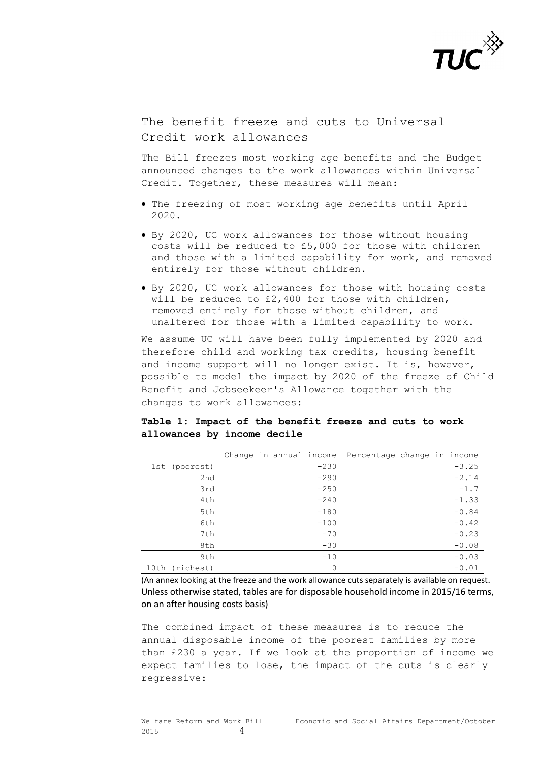

The benefit freeze and cuts to Universal Credit work allowances

The Bill freezes most working age benefits and the Budget announced changes to the work allowances within Universal Credit. Together, these measures will mean:

- The freezing of most working age benefits until April 2020.
- By 2020, UC work allowances for those without housing costs will be reduced to £5,000 for those with children and those with a limited capability for work, and removed entirely for those without children.
- By 2020, UC work allowances for those with housing costs will be reduced to £2,400 for those with children, removed entirely for those without children, and unaltered for those with a limited capability to work.

We assume UC will have been fully implemented by 2020 and therefore child and working tax credits, housing benefit and income support will no longer exist. It is, however, possible to model the impact by 2020 of the freeze of Child Benefit and Jobseekeer's Allowance together with the changes to work allowances:

### **Table 1: Impact of the benefit freeze and cuts to work allowances by income decile**

|                | Change in annual income Percentage change in income |        |  |         |
|----------------|-----------------------------------------------------|--------|--|---------|
| 1st (poorest)  |                                                     | $-230$ |  | $-3.25$ |
| 2nd            |                                                     | $-290$ |  | $-2.14$ |
| 3rd            |                                                     | $-250$ |  | $-1.7$  |
| 4th            |                                                     | $-240$ |  | $-1.33$ |
| 5th            |                                                     | $-180$ |  | $-0.84$ |
| 6th            |                                                     | $-100$ |  | $-0.42$ |
| 7th            |                                                     | $-70$  |  | $-0.23$ |
| 8th            |                                                     | $-30$  |  | $-0.08$ |
| 9th            |                                                     | $-10$  |  | $-0.03$ |
| 10th (richest) |                                                     | 0      |  | $-0.01$ |

(An annex looking at the freeze and the work allowance cuts separately is available on request. Unless otherwise stated, tables are for disposable household income in 2015/16 terms, on an after housing costs basis)

The combined impact of these measures is to reduce the annual disposable income of the poorest families by more than £230 a year. If we look at the proportion of income we expect families to lose, the impact of the cuts is clearly regressive: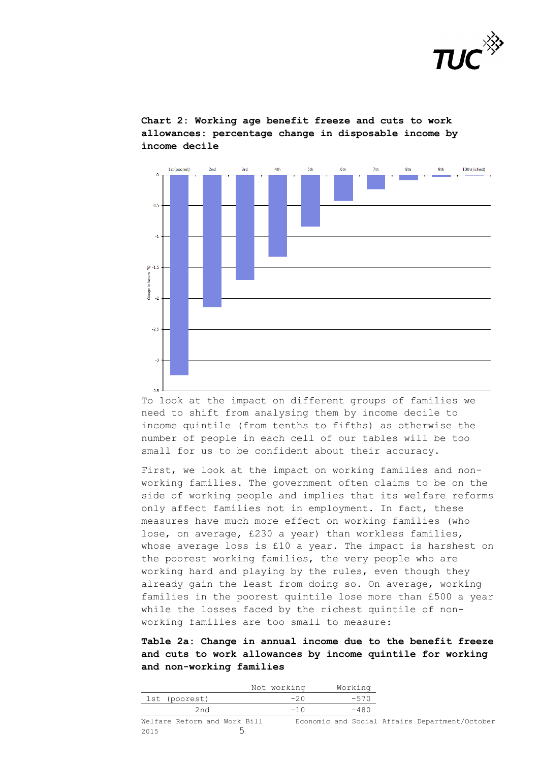

 $2nd$  $4<sup>th</sup>$ 1st (poorest) 3rd  $5<sub>th</sub>$  $6 + b$  $R + h$  $Q + h$ 10th (richest)  $\overline{a}$  $-0.5$  $\overline{1}$  $\hat{\mathscr{R}}$  -1.5 Change  $\overline{a}$  $-2.5$  $\overline{1}$ 

**Chart 2: Working age benefit freeze and cuts to work allowances: percentage change in disposable income by income decile**

To look at the impact on different groups of families we need to shift from analysing them by income decile to income quintile (from tenths to fifths) as otherwise the number of people in each cell of our tables will be too small for us to be confident about their accuracy.

 $\mathbf{R}$ 

First, we look at the impact on working families and nonworking families. The government often claims to be on the side of working people and implies that its welfare reforms only affect families not in employment. In fact, these measures have much more effect on working families (who lose, on average, £230 a year) than workless families, whose average loss is £10 a year. The impact is harshest on the poorest working families, the very people who are working hard and playing by the rules, even though they already gain the least from doing so. On average, working families in the poorest quintile lose more than £500 a year while the losses faced by the richest quintile of nonworking families are too small to measure:

**Table 2a: Change in annual income due to the benefit freeze and cuts to work allowances by income quintile for working and non-working families**

|      |                              | Not working | Working |                                                |
|------|------------------------------|-------------|---------|------------------------------------------------|
|      | lst (poorest)                | $-20$       | $-570$  |                                                |
|      | 2nd                          | $-10$       | $-480$  |                                                |
|      | Welfare Reform and Work Bill |             |         | Economic and Social Affairs Department/October |
| 2015 |                              |             |         |                                                |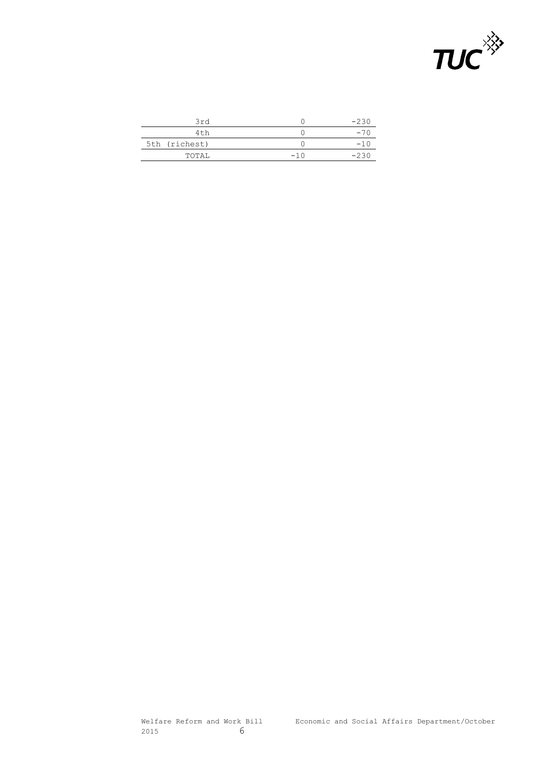

| 3rd           |       | $-230$ |
|---------------|-------|--------|
| 4th           |       | -70    |
| 5th (richest) |       | $-10$  |
| TOTAL         | $-10$ | -236   |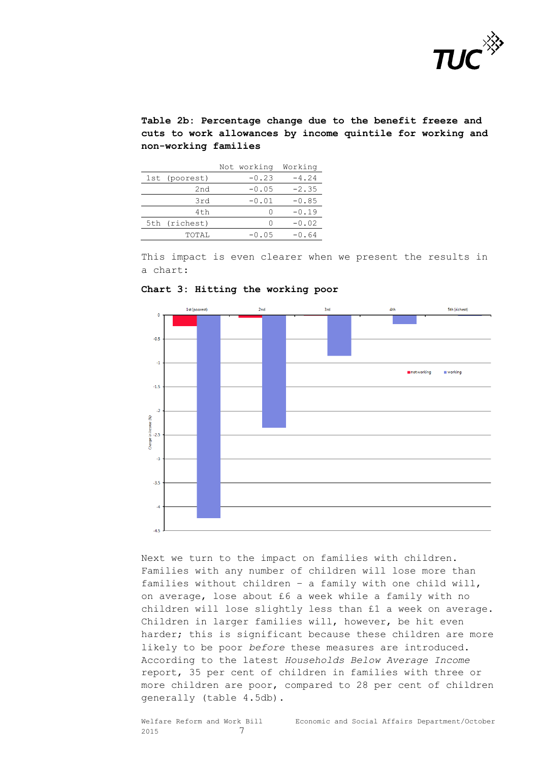

**Table 2b: Percentage change due to the benefit freeze and cuts to work allowances by income quintile for working and non-working families**

|                 | Not working | Working |
|-----------------|-------------|---------|
| 1st (poorest)   | $-0.23$     | $-4.24$ |
| 2nd             | $-0.05$     | $-2.35$ |
| 3rd             | $-0.01$     | $-0.85$ |
| 4 <sub>th</sub> | Ω           | $-0.19$ |
| 5th (richest)   | ∩           | $-0.02$ |
| TOTAL           | $-0.05$     | $-0.64$ |

This impact is even clearer when we present the results in a chart:



**Chart 3: Hitting the working poor**

Next we turn to the impact on families with children. Families with any number of children will lose more than families without children – a family with one child will, on average, lose about £6 a week while a family with no children will lose slightly less than £1 a week on average. Children in larger families will, however, be hit even harder; this is significant because these children are more likely to be poor *before* these measures are introduced. According to the latest *Households Below Average Income* report, 35 per cent of children in families with three or more children are poor, compared to 28 per cent of children generally (table 4.5db).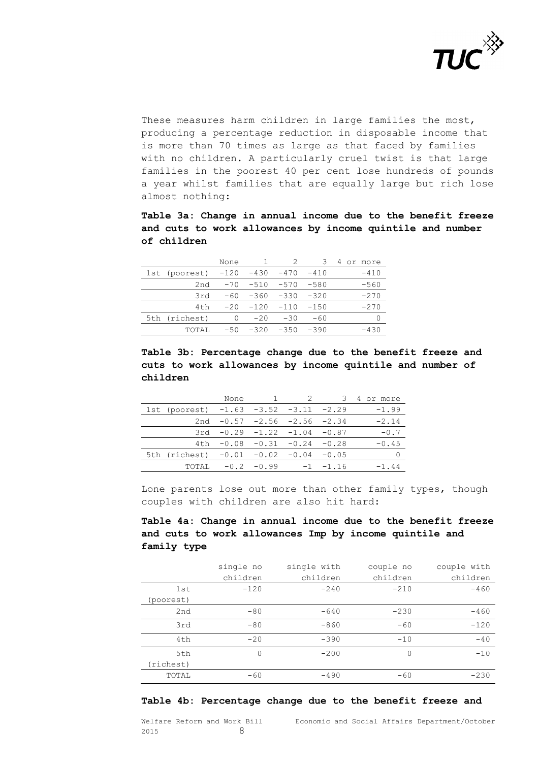

These measures harm children in large families the most, producing a percentage reduction in disposable income that is more than 70 times as large as that faced by families with no children. A particularly cruel twist is that large families in the poorest 40 per cent lose hundreds of pounds a year whilst families that are equally large but rich lose almost nothing:

**Table 3a: Change in annual income due to the benefit freeze and cuts to work allowances by income quintile and number of children**

|                 | None  |        |        |        | 4<br>or more |
|-----------------|-------|--------|--------|--------|--------------|
| 1st (poorest)   | -120  | $-430$ | $-470$ | $-410$ | $-410$       |
| 2nd             | $-70$ | $-510$ | $-570$ | $-580$ | $-560$       |
| 3rd             | $-60$ | $-360$ | $-330$ | $-320$ | $-270$       |
| 4 <sub>th</sub> | $-20$ | $-120$ | $-110$ | $-150$ | $-270$       |
| 5th (richest)   | O     | $-20$  | $-30$  | $-60$  |              |
| TOTAL           | $-50$ | $-320$ | $-350$ | $-390$ | $-430$       |

**Table 3b: Percentage change due to the benefit freeze and cuts to work allowances by income quintile and number of children** 

|                                         | None         |                                     |              | 4 or more |
|-----------------------------------------|--------------|-------------------------------------|--------------|-----------|
| 1st (poorest) $-1.63 -3.52 -3.11 -2.29$ |              |                                     |              | $-1.99$   |
|                                         |              | 2nd $-0.57$ $-2.56$ $-2.56$ $-2.34$ |              | $-2.14$   |
|                                         | $3rd - 0.29$ | $-1.22$ $-1.04$ $-0.87$             |              | $-0.7$    |
| 4 t h                                   | -0.08        | $-0.31 - 0.24$                      | $-0.28$      | $-0.45$   |
| 5th (richest)                           | $-0.01$      | $-0.02 -0.04$                       | $-0.05$      |           |
| TOTAI.                                  | $-0.2$       | -0.99                               | $-1 - -1.16$ | $-1.44$   |

Lone parents lose out more than other family types, though couples with children are also hit hard:

## **Table 4a: Change in annual income due to the benefit freeze and cuts to work allowances Imp by income quintile and family type**

|           | single no | single with | couple no | couple with |
|-----------|-----------|-------------|-----------|-------------|
|           | children  | children    | children  | children    |
| 1st       | $-120$    | $-240$      | $-210$    | $-460$      |
| (poorest) |           |             |           |             |
| 2nd       | $-80$     | $-640$      | $-230$    | $-460$      |
| 3rd       | $-80$     | $-860$      | $-60$     | $-120$      |
| 4th       | $-20$     | $-390$      | $-10$     | $-40$       |
| 5th       | 0         | $-200$      | 0         | $-10$       |
| (richest) |           |             |           |             |
| TOTAL     | $-60$     | $-490$      | $-60$     | $-230$      |

#### **Table 4b: Percentage change due to the benefit freeze and**

2015 8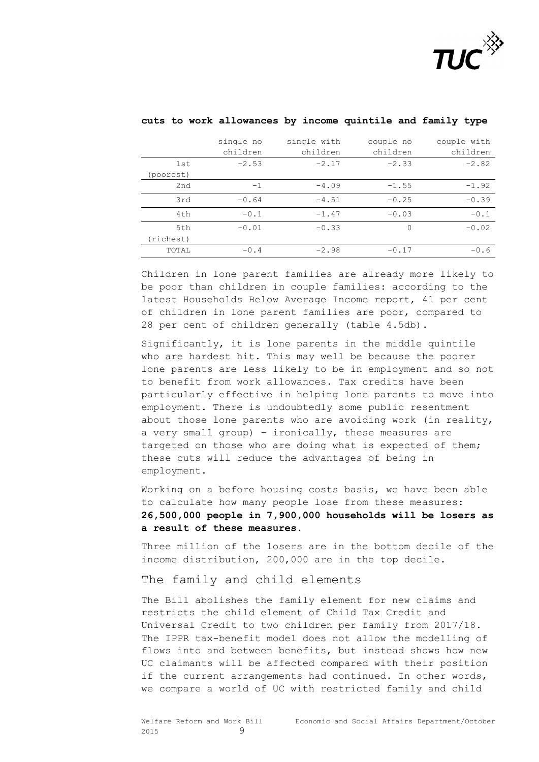

|              | single no | single with | couple no | couple with |
|--------------|-----------|-------------|-----------|-------------|
|              | children  | children    | children  | children    |
| 1st          | $-2.53$   | $-2.17$     | $-2.33$   | $-2.82$     |
| (poorest)    |           |             |           |             |
| 2nd          | $-1$      | $-4.09$     | $-1.55$   | $-1.92$     |
| 3rd          | $-0.64$   | $-4.51$     | $-0.25$   | $-0.39$     |
| 4th          | $-0.1$    | $-1.47$     | $-0.03$   | $-0.1$      |
| 5th          | $-0.01$   | $-0.33$     | $\Omega$  | $-0.02$     |
| (richest)    |           |             |           |             |
| <b>TOTAL</b> | $-0.4$    | $-2.98$     | $-0.17$   | $-0.6$      |

#### **cuts to work allowances by income quintile and family type**

Children in lone parent families are already more likely to be poor than children in couple families: according to the latest Households Below Average Income report, 41 per cent of children in lone parent families are poor, compared to 28 per cent of children generally (table 4.5db).

Significantly, it is lone parents in the middle quintile who are hardest hit. This may well be because the poorer lone parents are less likely to be in employment and so not to benefit from work allowances. Tax credits have been particularly effective in helping lone parents to move into employment. There is undoubtedly some public resentment about those lone parents who are avoiding work (in reality, a very small group) – ironically, these measures are targeted on those who are doing what is expected of them; these cuts will reduce the advantages of being in employment.

Working on a before housing costs basis, we have been able to calculate how many people lose from these measures: **26,500,000 people in 7,900,000 households will be losers as a result of these measures.**

Three million of the losers are in the bottom decile of the income distribution, 200,000 are in the top decile.

#### The family and child elements

The Bill abolishes the family element for new claims and restricts the child element of Child Tax Credit and Universal Credit to two children per family from 2017/18. The IPPR tax-benefit model does not allow the modelling of flows into and between benefits, but instead shows how new UC claimants will be affected compared with their position if the current arrangements had continued. In other words, we compare a world of UC with restricted family and child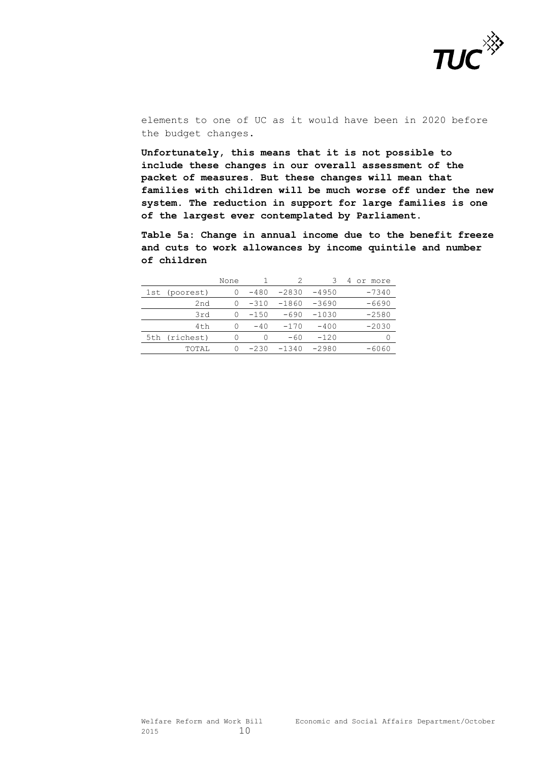

elements to one of UC as it would have been in 2020 before the budget changes.

**Unfortunately, this means that it is not possible to include these changes in our overall assessment of the packet of measures. But these changes will mean that families with children will be much worse off under the new system. The reduction in support for large families is one of the largest ever contemplated by Parliament.**

**Table 5a: Change in annual income due to the benefit freeze and cuts to work allowances by income quintile and number of children**

|                 | None |        |         |         | 4<br>or more |
|-----------------|------|--------|---------|---------|--------------|
| 1st (poorest)   | 0    | $-480$ | $-2830$ | $-4950$ | $-7340$      |
| 2nd             | 0    | $-310$ | $-1860$ | -3690   | -6690        |
| 3rd             | 0    | $-150$ | -690    | $-1030$ | $-2580$      |
| 4 <sub>th</sub> | 0    | $-40$  | $-170$  | $-400$  | $-2030$      |
| 5th (richest)   | ∩    | ∩      | $-60$   | $-120$  |              |
| TOTAL           | 0    | $-230$ | $-1340$ | $-2980$ | -6060        |
|                 |      |        |         |         |              |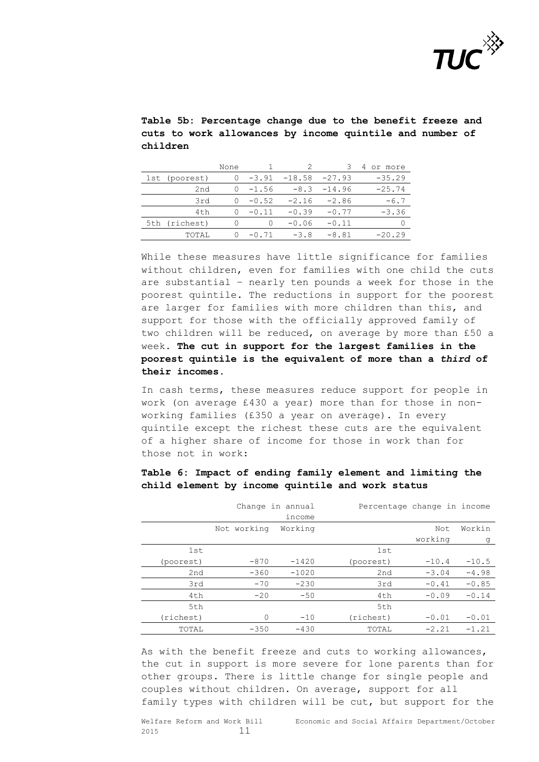

**Table 5b: Percentage change due to the benefit freeze and cuts to work allowances by income quintile and number of children** 

|               | None             |                  |                 | 3             | 4<br>or more |
|---------------|------------------|------------------|-----------------|---------------|--------------|
| 1st (poorest) | 0                | -3.91            | $-18.58 -27.93$ |               | $-35.29$     |
| 2nd           | $\left( \right)$ | $-1.56$          |                 | $-8.3 -14.96$ | $-25.74$     |
| 3rd           | $\bigcap$        | $-0.52$          | $-2.16$         | $-2.86$       | $-6.7$       |
| 4th           | $\bigcap$        | $-0.11$          | $-0.39$         | $-0.77$       | $-3.36$      |
| 5th (richest) |                  | $\left( \right)$ | $-0.06$         | $-0.11$       |              |
| TOTAI.        | $\bigcap$        | $-0.71$          | $-3.8$          | $-8.81$       | $-20.29$     |

While these measures have little significance for families without children, even for families with one child the cuts are substantial – nearly ten pounds a week for those in the poorest quintile. The reductions in support for the poorest are larger for families with more children than this, and support for those with the officially approved family of two children will be reduced, on average by more than £50 a week. **The cut in support for the largest families in the poorest quintile is the equivalent of more than a** *third* **of their incomes.**

In cash terms, these measures reduce support for people in work (on average £430 a year) more than for those in nonworking families (£350 a year on average). In every quintile except the richest these cuts are the equivalent of a higher share of income for those in work than for those not in work:

|           |             | Change in annual | Percentage change in income |         |         |
|-----------|-------------|------------------|-----------------------------|---------|---------|
|           |             | income           |                             |         |         |
|           | Not working | Working          |                             | Not     | Workin  |
|           |             |                  |                             | working | g       |
| 1st       |             |                  | 1st                         |         |         |
| (poorest) | $-870$      | $-1420$          | (poorest)                   | $-10.4$ | $-10.5$ |
| 2nd       | $-360$      | $-1020$          | 2nd                         | $-3.04$ | $-4.98$ |
| 3rd       | $-70$       | $-230$           | 3rd                         | $-0.41$ | $-0.85$ |
| 4th       | $-20$       | $-50$            | 4th                         | $-0.09$ | $-0.14$ |
| 5th       |             |                  | 5th                         |         |         |
| (richest) | 0           | $-10$            | (richest)                   | $-0.01$ | $-0.01$ |
| TOTAL     | $-350$      | $-430$           | TOTAL                       | $-2.21$ | $-1.21$ |

**Table 6: Impact of ending family element and limiting the child element by income quintile and work status**

As with the benefit freeze and cuts to working allowances, the cut in support is more severe for lone parents than for other groups. There is little change for single people and couples without children. On average, support for all family types with children will be cut, but support for the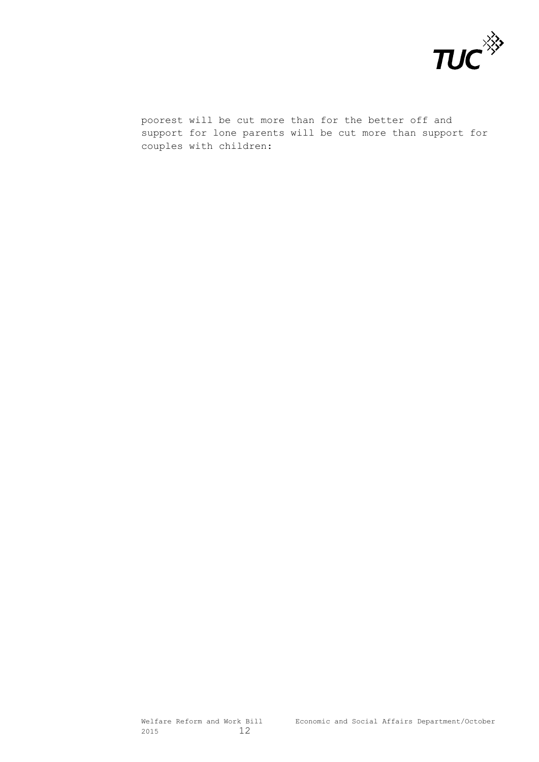

poorest will be cut more than for the better off and support for lone parents will be cut more than support for couples with children: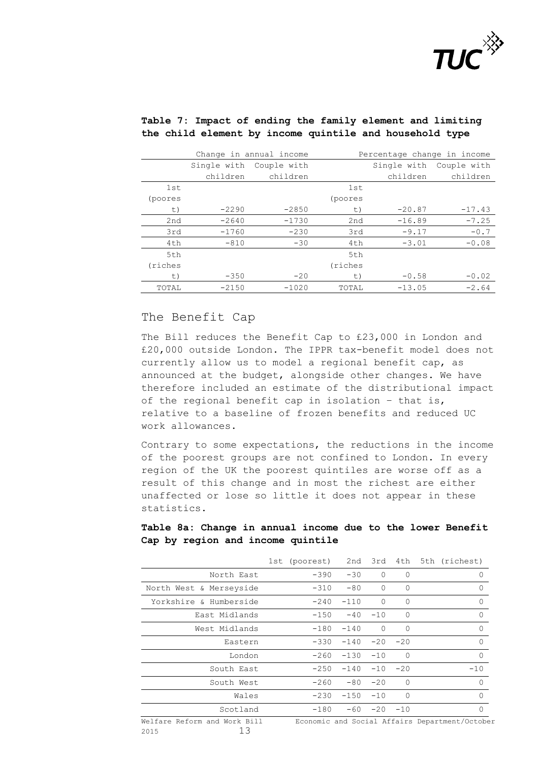

|         |             | Change in annual income | Percentage change in income |             |             |
|---------|-------------|-------------------------|-----------------------------|-------------|-------------|
|         | Single with | Couple with             |                             | Single with | Couple with |
|         | children    | children                |                             | children    | children    |
| 1st     |             |                         | 1st                         |             |             |
| (poores |             |                         | (poores                     |             |             |
| t)      | $-2290$     | $-2850$                 | t)                          | $-20.87$    | $-17.43$    |
| 2nd     | $-2640$     | $-1730$                 | 2nd                         | $-16.89$    | $-7.25$     |
| 3rd     | $-1760$     | $-230$                  | 3rd                         | $-9.17$     | $-0.7$      |
| 4th     | $-810$      | $-30$                   | 4th                         | $-3.01$     | $-0.08$     |
| 5th     |             |                         | 5th                         |             |             |
| (riches |             |                         | (riches                     |             |             |
| t)      | $-350$      | $-20$                   | t)                          | $-0.58$     | $-0.02$     |
| TOTAL   | $-2150$     | $-1020$                 | TOTAL                       | $-13.05$    | $-2.64$     |

## **Table 7: Impact of ending the family element and limiting the child element by income quintile and household type**

## The Benefit Cap

The Bill reduces the Benefit Cap to £23,000 in London and £20,000 outside London. The IPPR tax-benefit model does not currently allow us to model a regional benefit cap, as announced at the budget, alongside other changes. We have therefore included an estimate of the distributional impact of the regional benefit cap in isolation – that is, relative to a baseline of frozen benefits and reduced UC work allowances.

Contrary to some expectations, the reductions in the income of the poorest groups are not confined to London. In every region of the UK the poorest quintiles are worse off as a result of this change and in most the richest are either unaffected or lose so little it does not appear in these statistics.

## **Table 8a: Change in annual income due to the lower Benefit Cap by region and income quintile**

|                                            |        |             |                |           | 1st (poorest) 2nd 3rd 4th 5th (richest)        |
|--------------------------------------------|--------|-------------|----------------|-----------|------------------------------------------------|
| North East                                 | $-390$ | $-30$       | $\mathbf{0}$   | $\Omega$  |                                                |
| North West & Merseyside                    | $-310$ | $-80$       | $\Omega$       | $\Omega$  | 0                                              |
| Yorkshire & Humberside                     | $-240$ | $-110$      | $\Omega$       | $\Omega$  | 0                                              |
| East Midlands                              | $-150$ | $-40$       | $-10$          | $\Omega$  | $\Omega$                                       |
| West Midlands                              | $-180$ | $-140$      | $\Omega$       | $\Omega$  | O                                              |
| Eastern                                    | $-330$ |             | $-140 -20 -20$ |           | $\Omega$                                       |
| London                                     | $-260$ | $-130 - 10$ |                | $\Omega$  | 0                                              |
| South East                                 | $-250$ | $-140$      |                | $-10 -20$ | $-10$                                          |
| South West                                 | $-260$ | $-80$       | $-20$          | $\Omega$  | $\Omega$                                       |
| Wales                                      | $-230$ | $-150$      | $-10$          | $\Omega$  | $\Omega$                                       |
| Scotland                                   | $-180$ |             | $-60 -20 -10$  |           | $\Omega$                                       |
| Welfare Reform and Work Bill<br>13<br>2015 |        |             |                |           | Economic and Social Affairs Department/October |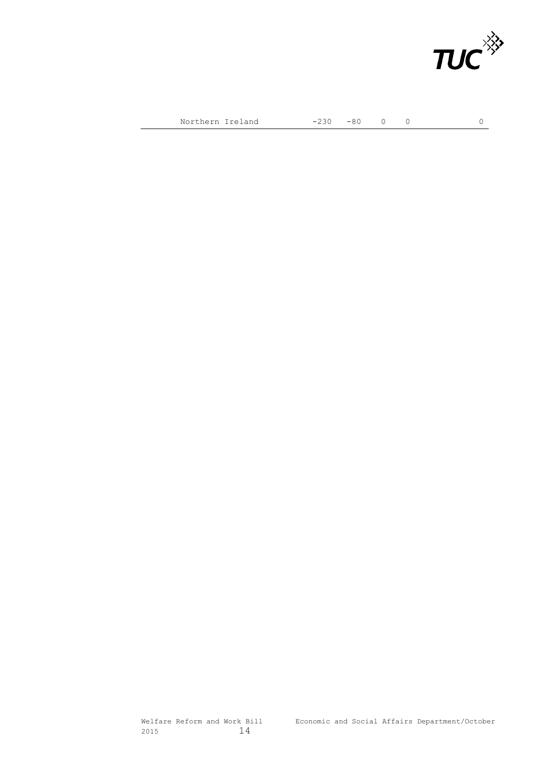

Northern Ireland  $-230$   $-80$  0 0 0 0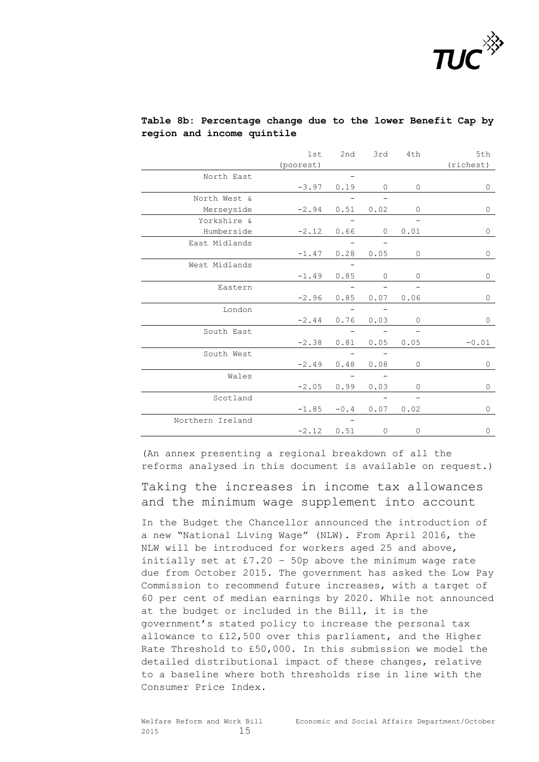

|                  | 1st       | 2nd    | 3rd          | 4th       | 5th          |
|------------------|-----------|--------|--------------|-----------|--------------|
|                  | (poorest) |        |              |           | (richest)    |
| North East       |           |        |              |           |              |
|                  | $-3.97$   | 0.19   | $\mathbf{0}$ | $\circ$   | 0            |
| North West &     |           |        |              |           |              |
| Merseyside       | $-2.94$   | 0.51   | 0.02         | 0         | 0            |
| Yorkshire &      |           |        |              |           |              |
| Humberside       | $-2.12$   | 0.66   | $\circ$      | 0.01      | 0            |
| East Midlands    |           |        |              |           |              |
|                  | $-1.47$   | 0.28   | 0.05         | $\circ$   | 0            |
| West Midlands    |           |        |              |           |              |
|                  | $-1.49$   | 0.85   | $\circ$      | $\circ$   | 0            |
| Eastern          |           |        |              |           |              |
|                  | $-2.96$   | 0.85   | 0.07         | 0.06      | 0            |
| London           |           |        |              |           |              |
|                  | $-2.44$   | 0.76   | 0.03         | 0         | 0            |
| South East       |           |        |              |           |              |
|                  | $-2.38$   | 0.81   | 0.05         | 0.05      | $-0.01$      |
| South West       |           |        |              |           |              |
|                  | $-2.49$   | 0.48   | 0.08         | $\circ$   | $\mathbf{0}$ |
| Wales            |           |        |              |           |              |
|                  | $-2.05$   | 0.99   | 0.03         | $\circ$   | 0            |
| Scotland         |           |        |              |           |              |
|                  | $-1.85$   | $-0.4$ |              | 0.07 0.02 | 0            |
| Northern Ireland |           |        |              |           |              |
|                  | $-2.12$   | 0.51   | $\mathbf 0$  | 0         | 0            |

## **Table 8b: Percentage change due to the lower Benefit Cap by region and income quintile**

(An annex presenting a regional breakdown of all the reforms analysed in this document is available on request.)

Taking the increases in income tax allowances and the minimum wage supplement into account

In the Budget the Chancellor announced the introduction of a new "National Living Wage" (NLW). From April 2016, the NLW will be introduced for workers aged 25 and above, initially set at  $£7.20 - 50p$  above the minimum wage rate due from October 2015. The government has asked the Low Pay Commission to recommend future increases, with a target of 60 per cent of median earnings by 2020. While not announced at the budget or included in the Bill, it is the government's stated policy to increase the personal tax allowance to £12,500 over this parliament, and the Higher Rate Threshold to £50,000. In this submission we model the detailed distributional impact of these changes, relative to a baseline where both thresholds rise in line with the Consumer Price Index.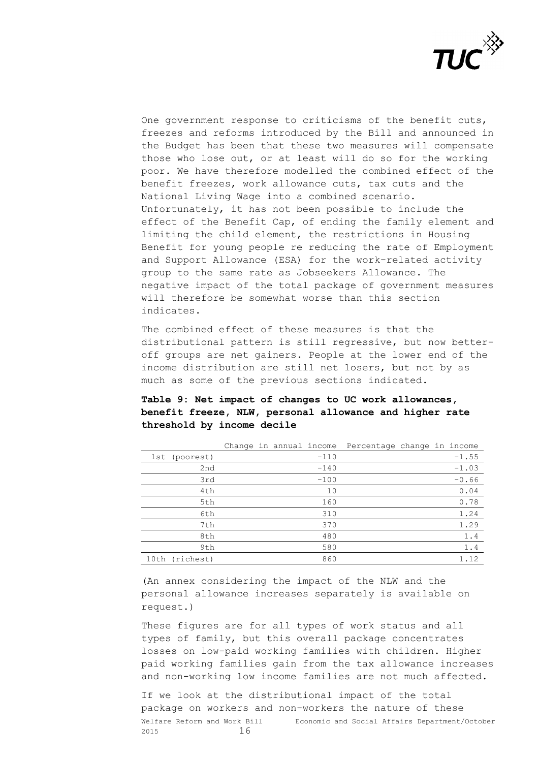

One government response to criticisms of the benefit cuts, freezes and reforms introduced by the Bill and announced in the Budget has been that these two measures will compensate those who lose out, or at least will do so for the working poor. We have therefore modelled the combined effect of the benefit freezes, work allowance cuts, tax cuts and the National Living Wage into a combined scenario. Unfortunately, it has not been possible to include the effect of the Benefit Cap, of ending the family element and limiting the child element, the restrictions in Housing Benefit for young people re reducing the rate of Employment and Support Allowance (ESA) for the work-related activity group to the same rate as Jobseekers Allowance. The negative impact of the total package of government measures will therefore be somewhat worse than this section indicates.

The combined effect of these measures is that the distributional pattern is still regressive, but now betteroff groups are net gainers. People at the lower end of the income distribution are still net losers, but not by as much as some of the previous sections indicated.

## **Table 9: Net impact of changes to UC work allowances, benefit freeze, NLW, personal allowance and higher rate threshold by income decile**

|                   |  |        | Change in annual income Percentage change in income |  |         |
|-------------------|--|--------|-----------------------------------------------------|--|---------|
| 1st (poorest)     |  | $-110$ |                                                     |  | $-1.55$ |
| 2nd               |  | $-140$ |                                                     |  | $-1.03$ |
| 3rd               |  | $-100$ |                                                     |  | $-0.66$ |
| 4th               |  | 10     |                                                     |  | 0.04    |
| 5th               |  | 160    |                                                     |  | 0.78    |
| 6th               |  | 310    |                                                     |  | 1.24    |
| 7th               |  | 370    |                                                     |  | 1.29    |
| 8th               |  | 480    |                                                     |  | 1.4     |
| 9th               |  | 580    |                                                     |  | 1.4     |
| (richest)<br>10th |  | 860    |                                                     |  | 1.12    |

(An annex considering the impact of the NLW and the personal allowance increases separately is available on request.)

These figures are for all types of work status and all types of family, but this overall package concentrates losses on low-paid working families with children. Higher paid working families gain from the tax allowance increases and non-working low income families are not much affected.

Welfare Reform and Work Bill Economic and Social Affairs Department/October 2015 16 If we look at the distributional impact of the total package on workers and non-workers the nature of these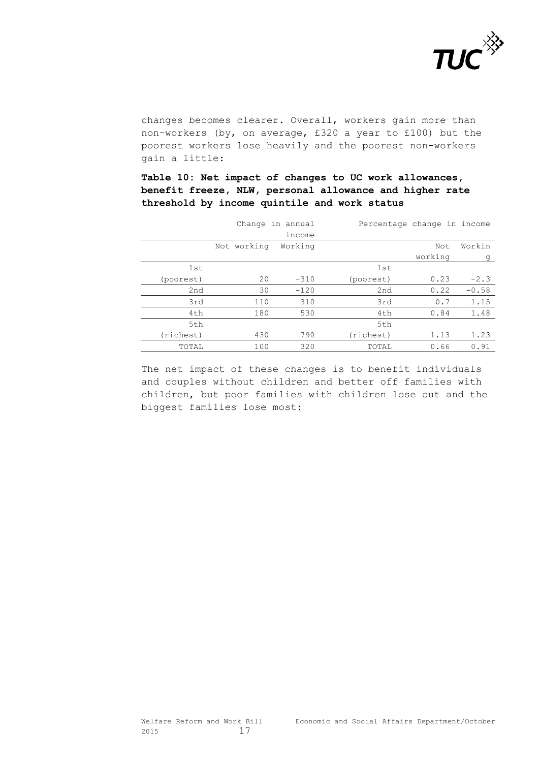

changes becomes clearer. Overall, workers gain more than non-workers (by, on average, £320 a year to £100) but the poorest workers lose heavily and the poorest non-workers gain a little:

**Table 10: Net impact of changes to UC work allowances, benefit freeze, NLW, personal allowance and higher rate threshold by income quintile and work status** 

|           |             | Change in annual | Percentage change in income |         |         |
|-----------|-------------|------------------|-----------------------------|---------|---------|
|           |             | income           |                             |         |         |
|           | Not working | Working          |                             | Not     | Workin  |
|           |             |                  |                             | working | g       |
| 1st       |             |                  | 1st                         |         |         |
| (poorest) | 20          | $-310$           | (poorest)                   | 0.23    | $-2.3$  |
| 2nd       | 30          | $-120$           | 2nd                         | 0.22    | $-0.58$ |
| 3rd       | 110         | 310              | 3rd                         | 0.7     | 1.15    |
| 4th       | 180         | 530              | 4th                         | 0.84    | 1.48    |
| 5th       |             |                  | 5th                         |         |         |
| (richest) | 430         | 790              | (richest)                   | 1.13    | 1.23    |
| TOTAL     | 100         | 320              | TOTAL                       | 0.66    | 0.91    |

The net impact of these changes is to benefit individuals and couples without children and better off families with children, but poor families with children lose out and the biggest families lose most: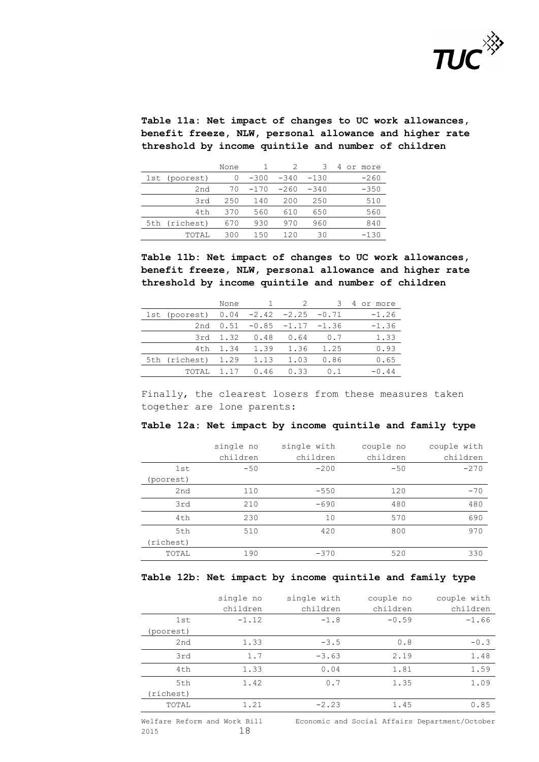

**Table 11a: Net impact of changes to UC work allowances, benefit freeze, NLW, personal allowance and higher rate threshold by income quintile and number of children** 

|                 | None |        |        | 3      | 4<br>or.<br>more |
|-----------------|------|--------|--------|--------|------------------|
| 1st (poorest)   |      | $-300$ | $-340$ | $-130$ | -260             |
| 2nd             | 70   | $-170$ | $-260$ | $-340$ | $-350$           |
| 3rd             | 250  | 140    | 200    | 250    | 510              |
| 4 <sub>th</sub> | 370  | 560    | 610    | 650    | 560              |
| 5th (richest)   | 670  | 930    | 970    | 960    | 840              |
| <b>TOTAL</b>    | 300  | 150    | 120    | 30     | $-130$           |

**Table 11b: Net impact of changes to UC work allowances, benefit freeze, NLW, personal allowance and higher rate threshold by income quintile and number of children** 

|                                        | None     |                                 |      |      | 4 or more |
|----------------------------------------|----------|---------------------------------|------|------|-----------|
| 1st (poorest) $0.04 -2.42 -2.25 -0.71$ |          |                                 |      |      | $-1.26$   |
|                                        |          | 2nd $0.51 - 0.85 - 1.17 - 1.36$ |      |      | $-1.36$   |
|                                        | 3rd 1.32 | 0.48                            | 0.64 | 0.7  | 1.33      |
| 4th                                    | 1.34     | 1.39                            | 1.36 | 1.25 | 0.93      |
| 5th (richest) 1.29                     |          | 1.13                            | 1.03 | 0.86 | 0.65      |
| TOTAI.                                 | 1.17     | 0.46                            | 0.33 | 0.1  | $-0.44$   |

Finally, the clearest losers from these measures taken together are lone parents:

#### **Table 12a: Net impact by income quintile and family type**

|           | single no | single with | couple no | couple with |
|-----------|-----------|-------------|-----------|-------------|
|           | children  | children    | children  | children    |
| 1st       | $-50$     | $-200$      | $-50$     | $-270$      |
| (poorest) |           |             |           |             |
| 2nd       | 110       | $-550$      | 120       | $-70$       |
| 3rd       | 210       | $-690$      | 480       | 480         |
| 4th       | 230       | 10          | 570       | 690         |
| 5th       | 510       | 420         | 800       | 970         |
| (richest) |           |             |           |             |
| TOTAL     | 190       | $-370$      | 520       | 330         |

#### **Table 12b: Net impact by income quintile and family type**

|                 | single no<br>children | single with<br>children | couple no<br>children | couple with<br>children |
|-----------------|-----------------------|-------------------------|-----------------------|-------------------------|
| 1st             | $-1.12$               | $-1.8$                  | $-0.59$               | $-1.66$                 |
| (poorest)       |                       |                         |                       |                         |
| 2nd             | 1.33                  | $-3.5$                  | 0.8                   | $-0.3$                  |
| 3rd             | 1.7                   | $-3.63$                 | 2.19                  | 1.48                    |
| 4 <sub>th</sub> | 1.33                  | 0.04                    | 1.81                  | 1.59                    |
| 5th             | 1.42                  | 0.7                     | 1.35                  | 1.09                    |
| (richest)       |                       |                         |                       |                         |
| TOTAL           | 1.21                  | $-2.23$                 | 1.45                  | 0.85                    |

2015 18

Welfare Reform and Work Bill Economic and Social Affairs Department/October